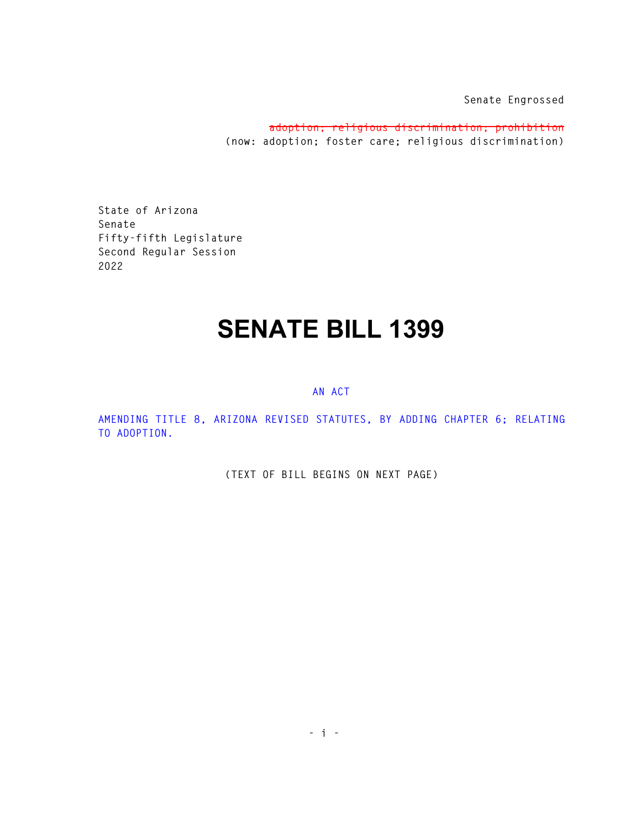**Senate Engrossed** 

**adoption; religious discrimination; prohibition (now: adoption; foster care; religious discrimination)** 

**State of Arizona Senate Fifty-fifth Legislature Second Regular Session 2022** 

## **SENATE BILL 1399**

## **AN ACT**

**AMENDING TITLE 8, ARIZONA REVISED STATUTES, BY ADDING CHAPTER 6; RELATING TO ADOPTION.** 

**(TEXT OF BILL BEGINS ON NEXT PAGE)**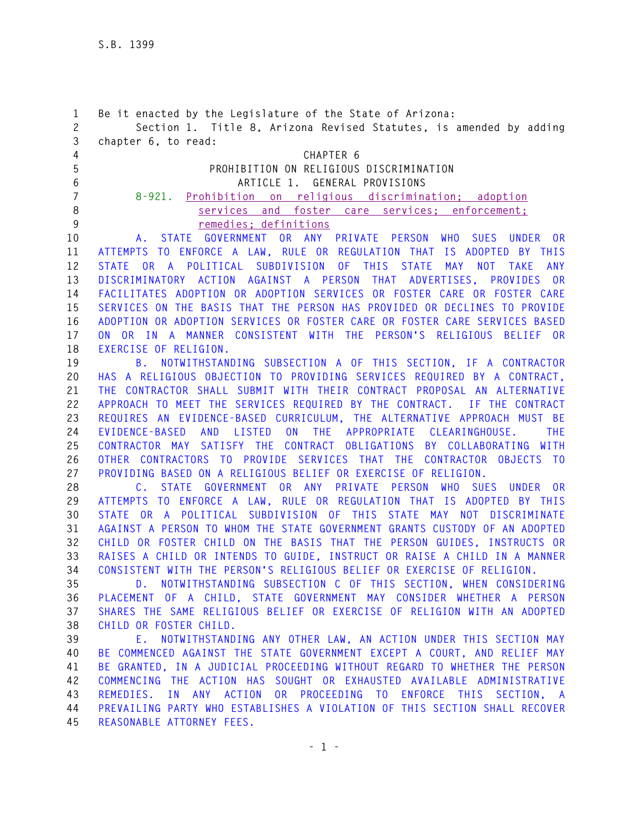| 1<br>$\overline{c}$<br>3 | Be it enacted by the Legislature of the State of Arizona:<br>Section 1. Title 8, Arizona Revised Statutes, is amended by adding<br>chapter 6, to read: |
|--------------------------|--------------------------------------------------------------------------------------------------------------------------------------------------------|
| 4                        | CHAPTER 6                                                                                                                                              |
| 5                        | PROHIBITION ON RELIGIOUS DISCRIMINATION                                                                                                                |
| 6                        | ARTICLE 1. GENERAL PROVISIONS                                                                                                                          |
| 7                        | Prohibition on religious discrimination; adoption<br>$8 - 921$ .                                                                                       |
| 8                        | services and foster care services; enforcement;                                                                                                        |
| 9                        | remedies; definitions                                                                                                                                  |
| 10                       | <b>STATE</b><br>GOVERNMENT OR ANY PRIVATE PERSON<br><b>WHO</b><br>SUES UNDER<br>0R<br>A.,                                                              |
| 11                       | ATTEMPTS TO ENFORCE A LAW, RULE OR REGULATION THAT IS ADOPTED BY THIS                                                                                  |
| 12                       | OR A<br>POLITICAL SUBDIVISION<br>OF THIS<br><b>STATE</b><br><b>MAY</b><br><b>NOT</b><br><b>TAKE</b><br><b>ANY</b><br><b>STATE</b>                      |
| 13                       | DISCRIMINATORY ACTION AGAINST A PERSON THAT ADVERTISES,<br>PROVIDES OR                                                                                 |
| 14                       | FACILITATES ADOPTION OR ADOPTION SERVICES OR FOSTER CARE OR FOSTER CARE                                                                                |
| 15                       | SERVICES ON THE BASIS THAT THE PERSON HAS PROVIDED OR DECLINES TO PROVIDE                                                                              |
| 16                       | ADOPTION OR ADOPTION SERVICES OR FOSTER CARE OR FOSTER CARE SERVICES BASED                                                                             |
| 17                       | ON OR IN A MANNER CONSISTENT WITH THE PERSON'S RELIGIOUS<br>BELIEF OR                                                                                  |
| 18                       | EXERCISE OF RELIGION.                                                                                                                                  |
| 19                       | B. NOTWITHSTANDING SUBSECTION A OF THIS SECTION, IF A CONTRACTOR                                                                                       |
| 20                       | HAS A RELIGIOUS OBJECTION TO PROVIDING SERVICES REQUIRED BY A CONTRACT.                                                                                |
| 21                       | THE CONTRACTOR SHALL SUBMIT WITH THEIR CONTRACT PROPOSAL AN ALTERNATIVE                                                                                |
| 22                       | APPROACH TO MEET THE SERVICES REQUIRED BY THE CONTRACT. IF THE CONTRACT                                                                                |
| 23                       | REQUIRES AN EVIDENCE-BASED CURRICULUM, THE ALTERNATIVE APPROACH MUST BE                                                                                |
| 24                       | ON THE APPROPRIATE CLEARINGHOUSE.<br><b>EVIDENCE-BASED</b><br>AND<br>LISTED<br><b>THE</b>                                                              |
| 25                       | CONTRACTOR MAY SATISFY THE CONTRACT OBLIGATIONS BY COLLABORATING WITH                                                                                  |
| 26                       | OTHER CONTRACTORS TO PROVIDE SERVICES THAT THE CONTRACTOR OBJECTS TO                                                                                   |
| 27                       | PROVIDING BASED ON A RELIGIOUS BELIEF OR EXERCISE OF RELIGION.                                                                                         |
| 28                       | STATE GOVERNMENT OR ANY<br>PRIVATE PERSON<br><b>WHO</b><br>SUES UNDER<br>0 <sub>R</sub><br>C.                                                          |
| 29                       | ATTEMPTS TO ENFORCE A LAW, RULE OR REGULATION THAT IS ADOPTED BY THIS                                                                                  |
| 30                       | STATE OR A POLITICAL SUBDIVISION OF THIS STATE MAY NOT DISCRIMINATE<br>AGAINST A PERSON TO WHOM THE STATE GOVERNMENT GRANTS CUSTODY OF AN ADOPTED      |
| 31<br>32                 | CHILD OR FOSTER CHILD ON THE BASIS THAT THE PERSON GUIDES, INSTRUCTS OR                                                                                |
| 33                       | RAISES A CHILD OR INTENDS TO GUIDE, INSTRUCT OR RAISE A CHILD IN A MANNER                                                                              |
| 34                       | CONSISTENT WITH THE PERSON'S RELIGIOUS BELIEF OR EXERCISE OF RELIGION.                                                                                 |
| 35                       | D. NOTWITHSTANDING SUBSECTION C OF THIS SECTION, WHEN CONSIDERING                                                                                      |
| 36                       | PLACEMENT OF A CHILD, STATE GOVERNMENT MAY CONSIDER WHETHER A PERSON                                                                                   |
| 37                       | SHARES THE SAME RELIGIOUS BELIEF OR EXERCISE OF RELIGION WITH AN ADOPTED                                                                               |
| 38                       | CHILD OR FOSTER CHILD.                                                                                                                                 |
| 39                       | E. NOTWITHSTANDING ANY OTHER LAW, AN ACTION UNDER THIS SECTION MAY                                                                                     |
| 40                       | BE COMMENCED AGAINST THE STATE GOVERNMENT EXCEPT A COURT, AND RELIEF MAY                                                                               |
| 41                       | BE GRANTED, IN A JUDICIAL PROCEEDING WITHOUT REGARD TO WHETHER THE PERSON                                                                              |
| 42                       | COMMENCING THE ACTION HAS SOUGHT OR EXHAUSTED AVAILABLE ADMINISTRATIVE                                                                                 |
| 43                       | REMEDIES. IN ANY ACTION OR PROCEEDING TO ENFORCE THIS SECTION, A                                                                                       |
| 44                       | PREVAILING PARTY WHO ESTABLISHES A VIOLATION OF THIS SECTION SHALL RECOVER                                                                             |
| 45                       | REASONABLE ATTORNEY FEES.                                                                                                                              |
|                          |                                                                                                                                                        |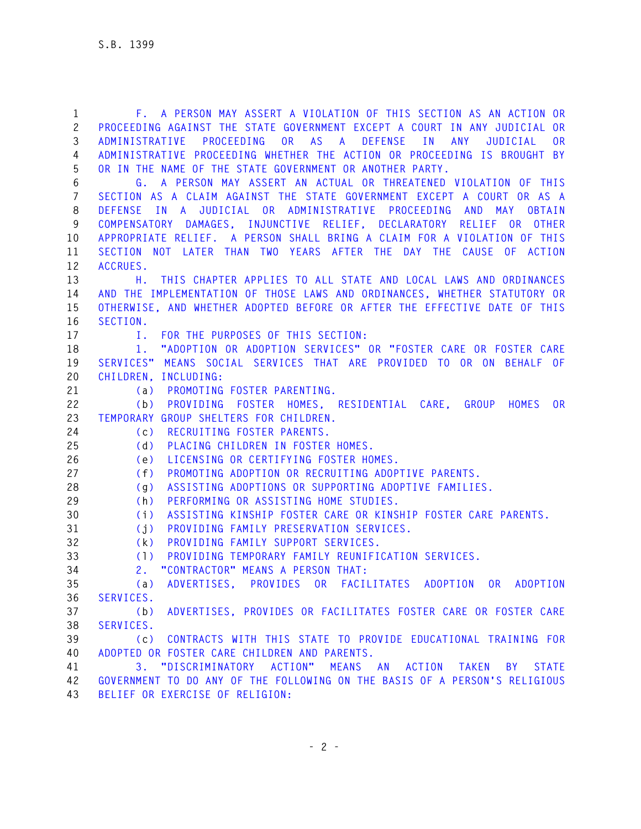**1 F. A PERSON MAY ASSERT A VIOLATION OF THIS SECTION AS AN ACTION OR 2 PROCEEDING AGAINST THE STATE GOVERNMENT EXCEPT A COURT IN ANY JUDICIAL OR 3 ADMINISTRATIVE PROCEEDING OR AS A DEFENSE IN ANY JUDICIAL OR 4 ADMINISTRATIVE PROCEEDING WHETHER THE ACTION OR PROCEEDING IS BROUGHT BY 5 OR IN THE NAME OF THE STATE GOVERNMENT OR ANOTHER PARTY. 6 G. A PERSON MAY ASSERT AN ACTUAL OR THREATENED VIOLATION OF THIS 7 SECTION AS A CLAIM AGAINST THE STATE GOVERNMENT EXCEPT A COURT OR AS A 8 DEFENSE IN A JUDICIAL OR ADMINISTRATIVE PROCEEDING AND MAY OBTAIN 9 COMPENSATORY DAMAGES, INJUNCTIVE RELIEF, DECLARATORY RELIEF OR OTHER 10 APPROPRIATE RELIEF. A PERSON SHALL BRING A CLAIM FOR A VIOLATION OF THIS 11 SECTION NOT LATER THAN TWO YEARS AFTER THE DAY THE CAUSE OF ACTION 12 ACCRUES. 13 H. THIS CHAPTER APPLIES TO ALL STATE AND LOCAL LAWS AND ORDINANCES 14 AND THE IMPLEMENTATION OF THOSE LAWS AND ORDINANCES, WHETHER STATUTORY OR 15 OTHERWISE, AND WHETHER ADOPTED BEFORE OR AFTER THE EFFECTIVE DATE OF THIS 16 SECTION. 17 I. FOR THE PURPOSES OF THIS SECTION: 18 1. "ADOPTION OR ADOPTION SERVICES" OR "FOSTER CARE OR FOSTER CARE 19 SERVICES" MEANS SOCIAL SERVICES THAT ARE PROVIDED TO OR ON BEHALF OF 20 CHILDREN, INCLUDING: 21 (a) PROMOTING FOSTER PARENTING. 22 (b) PROVIDING FOSTER HOMES, RESIDENTIAL CARE, GROUP HOMES OR 23 TEMPORARY GROUP SHELTERS FOR CHILDREN. 24 (c) RECRUITING FOSTER PARENTS. 25 (d) PLACING CHILDREN IN FOSTER HOMES. 26 (e) LICENSING OR CERTIFYING FOSTER HOMES. 27 (f) PROMOTING ADOPTION OR RECRUITING ADOPTIVE PARENTS. 28 (g) ASSISTING ADOPTIONS OR SUPPORTING ADOPTIVE FAMILIES. 29 (h) PERFORMING OR ASSISTING HOME STUDIES. 30 (i) ASSISTING KINSHIP FOSTER CARE OR KINSHIP FOSTER CARE PARENTS. 31 (j) PROVIDING FAMILY PRESERVATION SERVICES. 32 (k) PROVIDING FAMILY SUPPORT SERVICES. 33 (l) PROVIDING TEMPORARY FAMILY REUNIFICATION SERVICES. 34 2. "CONTRACTOR" MEANS A PERSON THAT: 35 (a) ADVERTISES, PROVIDES OR FACILITATES ADOPTION OR ADOPTION 36 SERVICES. 37 (b) ADVERTISES, PROVIDES OR FACILITATES FOSTER CARE OR FOSTER CARE 38 SERVICES. 39 (c) CONTRACTS WITH THIS STATE TO PROVIDE EDUCATIONAL TRAINING FOR 40 ADOPTED OR FOSTER CARE CHILDREN AND PARENTS. 41 3. "DISCRIMINATORY ACTION" MEANS AN ACTION TAKEN BY STATE 42 GOVERNMENT TO DO ANY OF THE FOLLOWING ON THE BASIS OF A PERSON'S RELIGIOUS 43 BELIEF OR EXERCISE OF RELIGION:**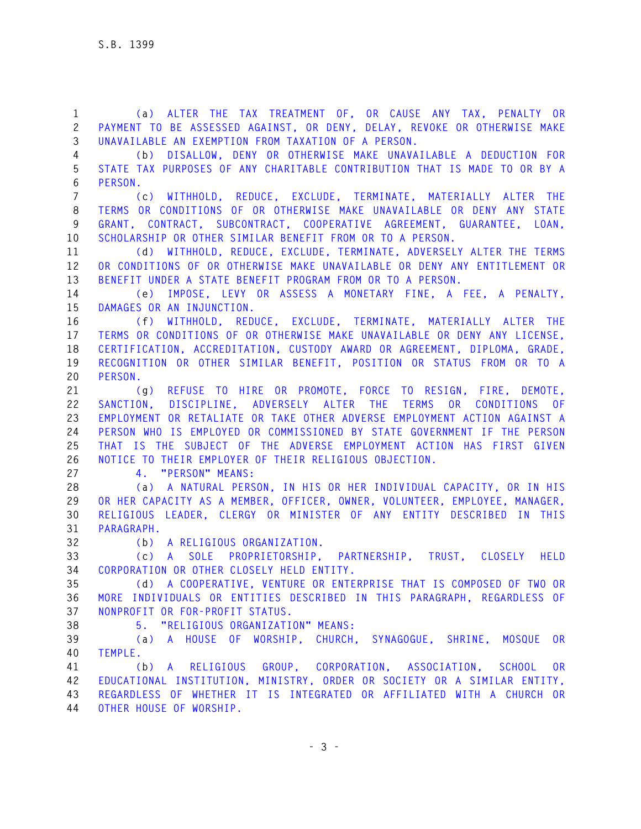**1 (a) ALTER THE TAX TREATMENT OF, OR CAUSE ANY TAX, PENALTY OR 2 PAYMENT TO BE ASSESSED AGAINST, OR DENY, DELAY, REVOKE OR OTHERWISE MAKE 3 UNAVAILABLE AN EXEMPTION FROM TAXATION OF A PERSON.** 

**4 (b) DISALLOW, DENY OR OTHERWISE MAKE UNAVAILABLE A DEDUCTION FOR 5 STATE TAX PURPOSES OF ANY CHARITABLE CONTRIBUTION THAT IS MADE TO OR BY A 6 PERSON.** 

**7 (c) WITHHOLD, REDUCE, EXCLUDE, TERMINATE, MATERIALLY ALTER THE 8 TERMS OR CONDITIONS OF OR OTHERWISE MAKE UNAVAILABLE OR DENY ANY STATE 9 GRANT, CONTRACT, SUBCONTRACT, COOPERATIVE AGREEMENT, GUARANTEE, LOAN, 10 SCHOLARSHIP OR OTHER SIMILAR BENEFIT FROM OR TO A PERSON.** 

**11 (d) WITHHOLD, REDUCE, EXCLUDE, TERMINATE, ADVERSELY ALTER THE TERMS 12 OR CONDITIONS OF OR OTHERWISE MAKE UNAVAILABLE OR DENY ANY ENTITLEMENT OR 13 BENEFIT UNDER A STATE BENEFIT PROGRAM FROM OR TO A PERSON.** 

**14 (e) IMPOSE, LEVY OR ASSESS A MONETARY FINE, A FEE, A PENALTY, 15 DAMAGES OR AN INJUNCTION.** 

**16 (f) WITHHOLD, REDUCE, EXCLUDE, TERMINATE, MATERIALLY ALTER THE 17 TERMS OR CONDITIONS OF OR OTHERWISE MAKE UNAVAILABLE OR DENY ANY LICENSE, 18 CERTIFICATION, ACCREDITATION, CUSTODY AWARD OR AGREEMENT, DIPLOMA, GRADE, 19 RECOGNITION OR OTHER SIMILAR BENEFIT, POSITION OR STATUS FROM OR TO A 20 PERSON.** 

**21 (g) REFUSE TO HIRE OR PROMOTE, FORCE TO RESIGN, FIRE, DEMOTE, 22 SANCTION, DISCIPLINE, ADVERSELY ALTER THE TERMS OR CONDITIONS OF 23 EMPLOYMENT OR RETALIATE OR TAKE OTHER ADVERSE EMPLOYMENT ACTION AGAINST A 24 PERSON WHO IS EMPLOYED OR COMMISSIONED BY STATE GOVERNMENT IF THE PERSON 25 THAT IS THE SUBJECT OF THE ADVERSE EMPLOYMENT ACTION HAS FIRST GIVEN 26 NOTICE TO THEIR EMPLOYER OF THEIR RELIGIOUS OBJECTION.** 

**27 4. "PERSON" MEANS:** 

**28 (a) A NATURAL PERSON, IN HIS OR HER INDIVIDUAL CAPACITY, OR IN HIS 29 OR HER CAPACITY AS A MEMBER, OFFICER, OWNER, VOLUNTEER, EMPLOYEE, MANAGER, 30 RELIGIOUS LEADER, CLERGY OR MINISTER OF ANY ENTITY DESCRIBED IN THIS 31 PARAGRAPH.** 

**32 (b) A RELIGIOUS ORGANIZATION.** 

**33 (c) A SOLE PROPRIETORSHIP, PARTNERSHIP, TRUST, CLOSELY HELD 34 CORPORATION OR OTHER CLOSELY HELD ENTITY.** 

**35 (d) A COOPERATIVE, VENTURE OR ENTERPRISE THAT IS COMPOSED OF TWO OR 36 MORE INDIVIDUALS OR ENTITIES DESCRIBED IN THIS PARAGRAPH, REGARDLESS OF 37 NONPROFIT OR FOR-PROFIT STATUS.** 

**38 5. "RELIGIOUS ORGANIZATION" MEANS:** 

**39 (a) A HOUSE OF WORSHIP, CHURCH, SYNAGOGUE, SHRINE, MOSQUE OR 40 TEMPLE.** 

**41 (b) A RELIGIOUS GROUP, CORPORATION, ASSOCIATION, SCHOOL OR 42 EDUCATIONAL INSTITUTION, MINISTRY, ORDER OR SOCIETY OR A SIMILAR ENTITY, 43 REGARDLESS OF WHETHER IT IS INTEGRATED OR AFFILIATED WITH A CHURCH OR 44 OTHER HOUSE OF WORSHIP.**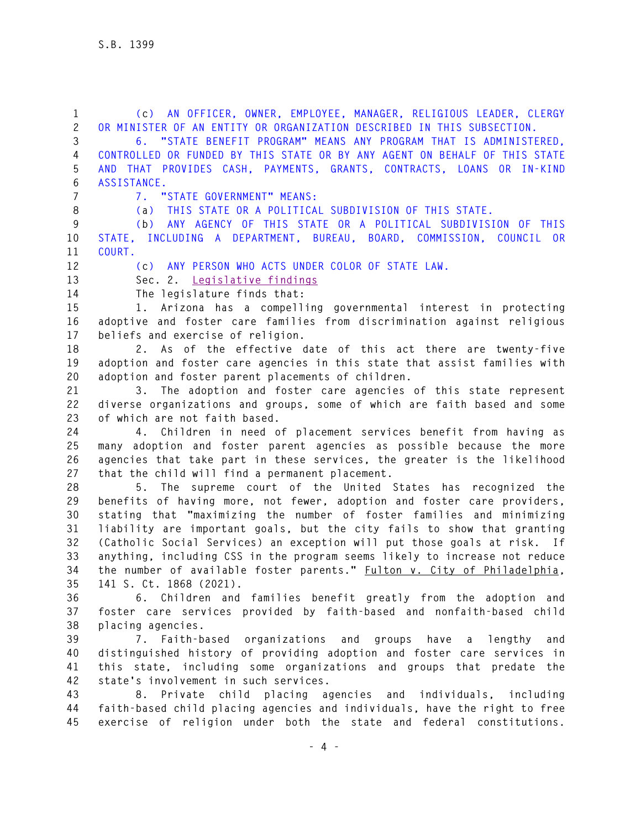**1 (c) AN OFFICER, OWNER, EMPLOYEE, MANAGER, RELIGIOUS LEADER, CLERGY 2 OR MINISTER OF AN ENTITY OR ORGANIZATION DESCRIBED IN THIS SUBSECTION. 3 6. "STATE BENEFIT PROGRAM" MEANS ANY PROGRAM THAT IS ADMINISTERED, 4 CONTROLLED OR FUNDED BY THIS STATE OR BY ANY AGENT ON BEHALF OF THIS STATE 5 AND THAT PROVIDES CASH, PAYMENTS, GRANTS, CONTRACTS, LOANS OR IN-KIND 6 ASSISTANCE. 7 7. "STATE GOVERNMENT" MEANS: 8 (a) THIS STATE OR A POLITICAL SUBDIVISION OF THIS STATE. 9 (b) ANY AGENCY OF THIS STATE OR A POLITICAL SUBDIVISION OF THIS 10 STATE, INCLUDING A DEPARTMENT, BUREAU, BOARD, COMMISSION, COUNCIL OR 11 COURT. 12 (c) ANY PERSON WHO ACTS UNDER COLOR OF STATE LAW. 13 Sec. 2. Legislative findings 14 The legislature finds that: 15 1. Arizona has a compelling governmental interest in protecting 16 adoptive and foster care families from discrimination against religious 17 beliefs and exercise of religion. 18 2. As of the effective date of this act there are twenty-five 19 adoption and foster care agencies in this state that assist families with 20 adoption and foster parent placements of children. 21 3. The adoption and foster care agencies of this state represent 22 diverse organizations and groups, some of which are faith based and some 23 of which are not faith based. 24 4. Children in need of placement services benefit from having as 25 many adoption and foster parent agencies as possible because the more 26 agencies that take part in these services, the greater is the likelihood 27 that the child will find a permanent placement. 28 5. The supreme court of the United States has recognized the 29 benefits of having more, not fewer, adoption and foster care providers, 30 stating that "maximizing the number of foster families and minimizing 31 liability are important goals, but the city fails to show that granting 32 (Catholic Social Services) an exception will put those goals at risk. If 33 anything, including CSS in the program seems likely to increase not reduce 34 the number of available foster parents." Fulton v. City of Philadelphia, 35 141 S. Ct. 1868 (2021). 36 6. Children and families benefit greatly from the adoption and 37 foster care services provided by faith-based and nonfaith-based child 38 placing agencies. 39 7. Faith-based organizations and groups have a lengthy and 40 distinguished history of providing adoption and foster care services in 41 this state, including some organizations and groups that predate the 42 state's involvement in such services. 43 8. Private child placing agencies and individuals, including 44 faith-based child placing agencies and individuals, have the right to free 45 exercise of religion under both the state and federal constitutions.**